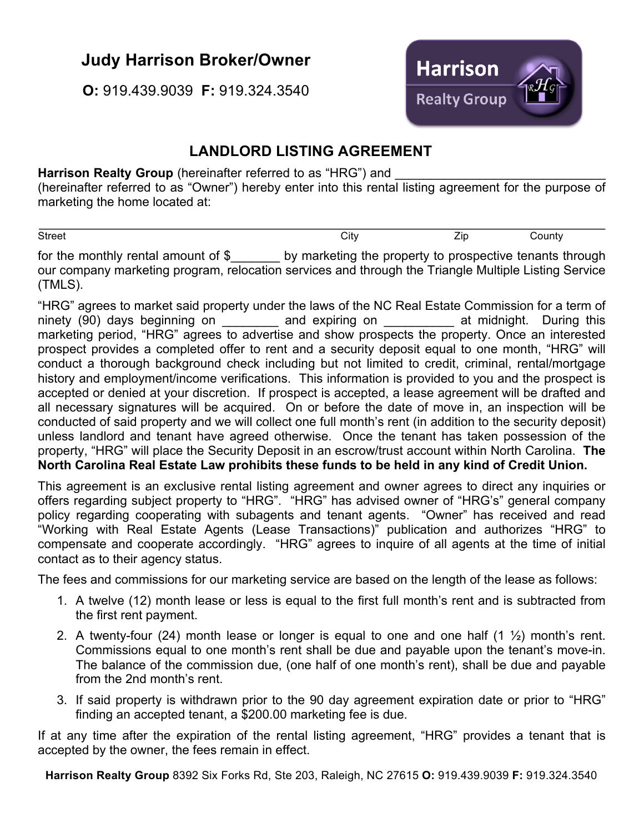## **Judy Harrison Broker/Owner**

**O:** 919.439.9039 **F:** 919.324.3540



## **LANDLORD LISTING AGREEMENT**

Harrison Realty Group (hereinafter referred to as "HRG") and (hereinafter referred to as "Owner") hereby enter into this rental listing agreement for the purpose of marketing the home located at:

Street County County City County City and Zip County

for the monthly rental amount of \$ by marketing the property to prospective tenants through our company marketing program, relocation services and through the Triangle Multiple Listing Service (TMLS).

"HRG" agrees to market said property under the laws of the NC Real Estate Commission for a term of ninety (90) days beginning on and expiring on at midnight. During this marketing period, "HRG" agrees to advertise and show prospects the property. Once an interested prospect provides a completed offer to rent and a security deposit equal to one month, "HRG" will conduct a thorough background check including but not limited to credit, criminal, rental/mortgage history and employment/income verifications. This information is provided to you and the prospect is accepted or denied at your discretion. If prospect is accepted, a lease agreement will be drafted and all necessary signatures will be acquired. On or before the date of move in, an inspection will be conducted of said property and we will collect one full month's rent (in addition to the security deposit) unless landlord and tenant have agreed otherwise. Once the tenant has taken possession of the property, "HRG" will place the Security Deposit in an escrow/trust account within North Carolina. **The North Carolina Real Estate Law prohibits these funds to be held in any kind of Credit Union.**

This agreement is an exclusive rental listing agreement and owner agrees to direct any inquiries or offers regarding subject property to "HRG". "HRG" has advised owner of "HRG's" general company policy regarding cooperating with subagents and tenant agents. "Owner" has received and read "Working with Real Estate Agents (Lease Transactions)" publication and authorizes "HRG" to compensate and cooperate accordingly. "HRG" agrees to inquire of all agents at the time of initial contact as to their agency status.

The fees and commissions for our marketing service are based on the length of the lease as follows:

- 1. A twelve (12) month lease or less is equal to the first full month's rent and is subtracted from the first rent payment.
- 2. A twenty-four (24) month lease or longer is equal to one and one half (1 ½) month's rent. Commissions equal to one month's rent shall be due and payable upon the tenant's move-in. The balance of the commission due, (one half of one month's rent), shall be due and payable from the 2nd month's rent.
- 3. If said property is withdrawn prior to the 90 day agreement expiration date or prior to "HRG" finding an accepted tenant, a \$200.00 marketing fee is due.

If at any time after the expiration of the rental listing agreement, "HRG" provides a tenant that is accepted by the owner, the fees remain in effect.

**Harrison Realty Group** 8392 Six Forks Rd, Ste 203, Raleigh, NC 27615 **O:** 919.439.9039 **F:** 919.324.3540